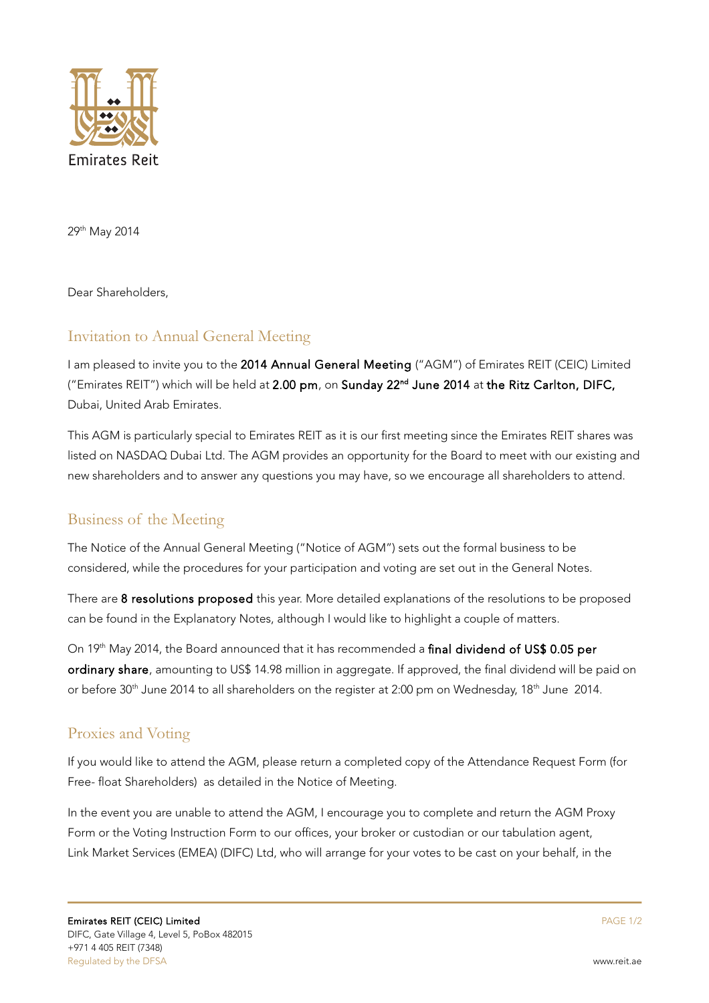

29th May 2014

Dear Shareholders,

## Invitation to Annual General Meeting

I am pleased to invite you to the 2014 Annual General Meeting ("AGM") of Emirates REIT (CEIC) Limited ("Emirates REIT") which will be held at 2.00 pm, on Sunday 22<sup>nd</sup> June 2014 at the Ritz Carlton, DIFC, Dubai, United Arab Emirates.

This AGM is particularly special to Emirates REIT as it is our first meeting since the Emirates REIT shares was listed on NASDAQ Dubai Ltd. The AGM provides an opportunity for the Board to meet with our existing and new shareholders and to answer any questions you may have, so we encourage all shareholders to attend.

## Business of the Meeting

The Notice of the Annual General Meeting ("Notice of AGM") sets out the formal business to be considered, while the procedures for your participation and voting are set out in the General Notes.

There are 8 resolutions proposed this year. More detailed explanations of the resolutions to be proposed can be found in the Explanatory Notes, although I would like to highlight a couple of matters.

On 19th May 2014, the Board announced that it has recommended a final dividend of US\$ 0.05 per ordinary share, amounting to US\$ 14.98 million in aggregate. If approved, the final dividend will be paid on or before 30<sup>th</sup> June 2014 to all shareholders on the register at 2:00 pm on Wednesday, 18<sup>th</sup> June 2014.

## Proxies and Voting

If you would like to attend the AGM, please return a completed copy of the Attendance Request Form (for Free- float Shareholders) as detailed in the Notice of Meeting.

In the event you are unable to attend the AGM, I encourage you to complete and return the AGM Proxy Form or the Voting Instruction Form to our offices, your broker or custodian or our tabulation agent, Link Market Services (EMEA) (DIFC) Ltd, who will arrange for your votes to be cast on your behalf, in the